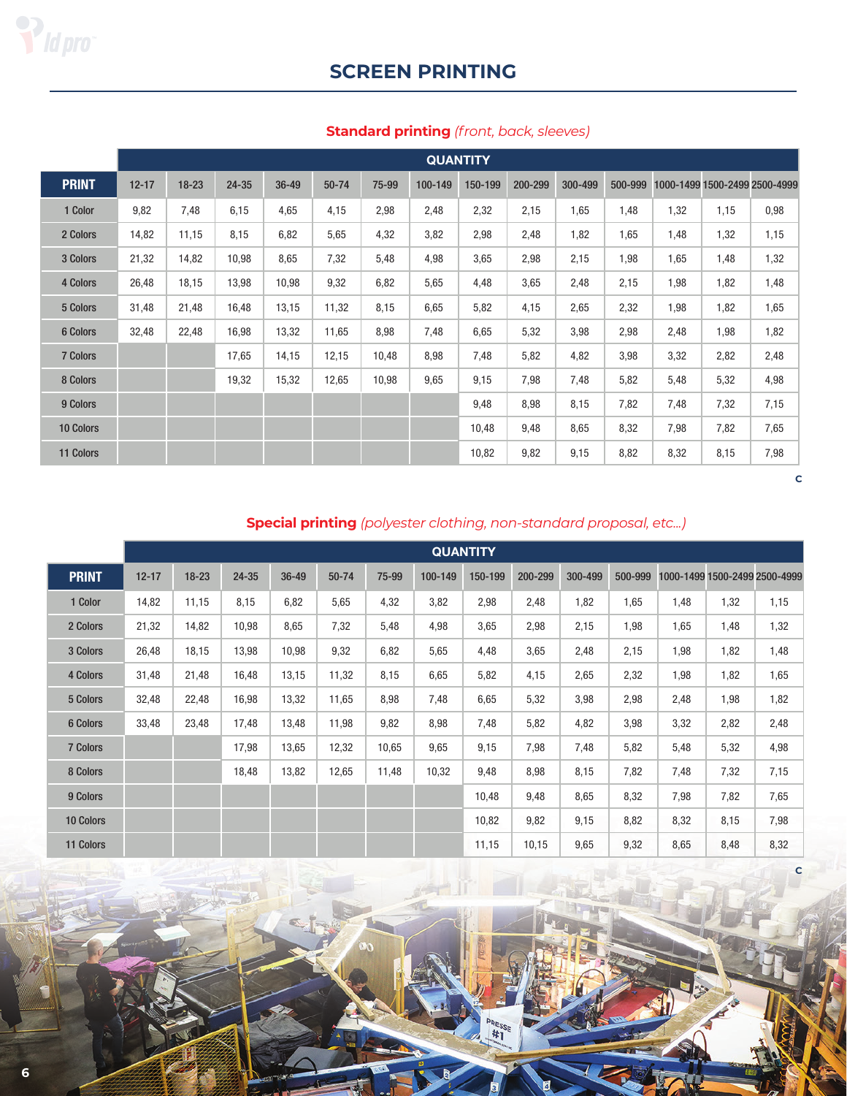

# **SCREEN PRINTING**

|              | <b>QUANTITY</b> |           |           |           |           |       |         |         |         |         |         |                               |      |      |
|--------------|-----------------|-----------|-----------|-----------|-----------|-------|---------|---------|---------|---------|---------|-------------------------------|------|------|
| <b>PRINT</b> | $12 - 17$       | $18 - 23$ | $24 - 35$ | $36 - 49$ | $50 - 74$ | 75-99 | 100-149 | 150-199 | 200-299 | 300-499 | 500-999 | 1000-1499 1500-2499 2500-4999 |      |      |
| 1 Color      | 9,82            | 7,48      | 6,15      | 4,65      | 4,15      | 2,98  | 2,48    | 2,32    | 2,15    | 1,65    | 1,48    | 1,32                          | 1,15 | 0,98 |
| 2 Colors     | 14,82           | 11,15     | 8,15      | 6,82      | 5,65      | 4,32  | 3,82    | 2,98    | 2,48    | 1,82    | 1,65    | 1,48                          | 1,32 | 1,15 |
| 3 Colors     | 21,32           | 14,82     | 10,98     | 8,65      | 7,32      | 5,48  | 4,98    | 3,65    | 2,98    | 2,15    | 1,98    | 1,65                          | 1,48 | 1,32 |
| 4 Colors     | 26,48           | 18,15     | 13,98     | 10,98     | 9,32      | 6,82  | 5,65    | 4,48    | 3,65    | 2,48    | 2,15    | 1,98                          | 1,82 | 1,48 |
| 5 Colors     | 31,48           | 21,48     | 16,48     | 13,15     | 11,32     | 8,15  | 6,65    | 5,82    | 4,15    | 2,65    | 2,32    | 1,98                          | 1,82 | 1,65 |
| 6 Colors     | 32,48           | 22,48     | 16,98     | 13,32     | 11,65     | 8,98  | 7,48    | 6,65    | 5,32    | 3,98    | 2,98    | 2,48                          | 1,98 | 1,82 |
| 7 Colors     |                 |           | 17,65     | 14,15     | 12,15     | 10,48 | 8,98    | 7,48    | 5,82    | 4,82    | 3,98    | 3,32                          | 2,82 | 2,48 |
| 8 Colors     |                 |           | 19,32     | 15,32     | 12,65     | 10,98 | 9,65    | 9,15    | 7,98    | 7,48    | 5,82    | 5,48                          | 5,32 | 4,98 |
| 9 Colors     |                 |           |           |           |           |       |         | 9,48    | 8,98    | 8,15    | 7,82    | 7,48                          | 7,32 | 7,15 |
| 10 Colors    |                 |           |           |           |           |       |         | 10,48   | 9,48    | 8,65    | 8,32    | 7,98                          | 7,82 | 7,65 |
| 11 Colors    |                 |           |           |           |           |       |         | 10,82   | 9,82    | 9,15    | 8,82    | 8,32                          | 8,15 | 7,98 |

## **Standard printing** *(front, back, sleeves)*

**C**

## **Special printing** *(polyester clothing, non-standard proposal, etc...)*

|              | <b>QUANTITY</b> |           |       |       |           |       |         |         |         |         |         |                               |      |      |
|--------------|-----------------|-----------|-------|-------|-----------|-------|---------|---------|---------|---------|---------|-------------------------------|------|------|
| <b>PRINT</b> | $12 - 17$       | $18 - 23$ | 24-35 | 36-49 | $50 - 74$ | 75-99 | 100-149 | 150-199 | 200-299 | 300-499 | 500-999 | 1000-1499 1500-2499 2500-4999 |      |      |
| 1 Color      | 14,82           | 11,15     | 8,15  | 6,82  | 5,65      | 4,32  | 3,82    | 2,98    | 2,48    | 1,82    | 1,65    | 1,48                          | 1,32 | 1,15 |
| 2 Colors     | 21,32           | 14,82     | 10,98 | 8,65  | 7,32      | 5,48  | 4,98    | 3,65    | 2,98    | 2,15    | 1,98    | 1,65                          | 1,48 | 1,32 |
| 3 Colors     | 26,48           | 18,15     | 13,98 | 10,98 | 9,32      | 6,82  | 5,65    | 4,48    | 3,65    | 2,48    | 2,15    | 1,98                          | 1,82 | 1,48 |
| 4 Colors     | 31,48           | 21,48     | 16,48 | 13,15 | 11,32     | 8,15  | 6,65    | 5,82    | 4,15    | 2,65    | 2,32    | 1,98                          | 1,82 | 1,65 |
| 5 Colors     | 32,48           | 22,48     | 16,98 | 13,32 | 11,65     | 8,98  | 7,48    | 6,65    | 5,32    | 3,98    | 2,98    | 2,48                          | 1,98 | 1,82 |
| 6 Colors     | 33,48           | 23,48     | 17,48 | 13,48 | 11,98     | 9,82  | 8,98    | 7,48    | 5,82    | 4,82    | 3,98    | 3,32                          | 2,82 | 2,48 |
| 7 Colors     |                 |           | 17,98 | 13,65 | 12,32     | 10,65 | 9,65    | 9,15    | 7,98    | 7,48    | 5,82    | 5,48                          | 5,32 | 4,98 |
| 8 Colors     |                 |           | 18,48 | 13,82 | 12,65     | 11,48 | 10,32   | 9,48    | 8,98    | 8,15    | 7,82    | 7,48                          | 7,32 | 7,15 |
| 9 Colors     |                 |           |       |       |           |       |         | 10,48   | 9,48    | 8,65    | 8,32    | 7,98                          | 7,82 | 7,65 |
| 10 Colors    |                 |           |       |       |           |       |         | 10,82   | 9,82    | 9,15    | 8,82    | 8,32                          | 8,15 | 7,98 |
| 11 Colors    |                 |           |       |       |           |       |         | 11,15   | 10,15   | 9,65    | 9,32    | 8,65                          | 8,48 | 8,32 |

**C**